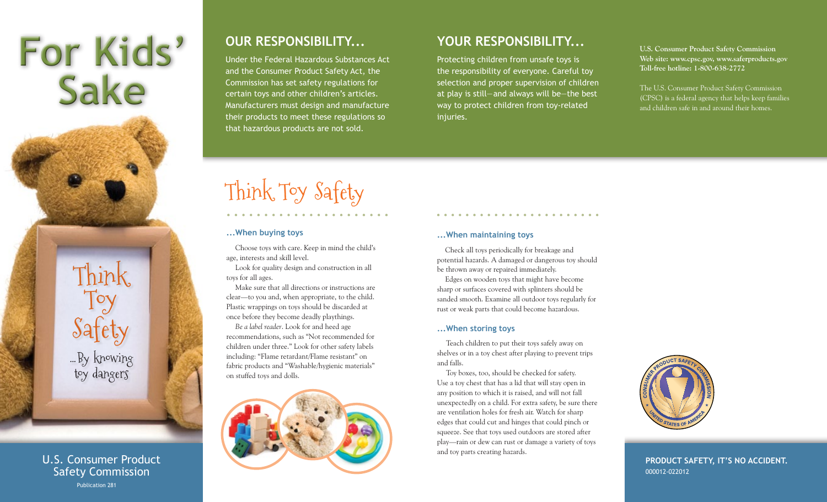# **For Kids' Sake**

Think Toy Safety ...By knowing toy dangers

U.S. Consumer Product Safety Commission Publication 281

## **OUR RESPONSIBILITY...**

Under the Federal Hazardous Substances Act and the Consumer Product Safety Act, the Commission has set safety regulations for certain toys and other children's articles. Manufacturers must design and manufacture their products to meet these regulations so that hazardous products are not sold.

### **YOUR RESPONSIBILITY...**

Protecting children from unsafe toys is the responsibility of everyone. Careful toy selection and proper supervision of children at play is still—and always will be—the best way to protect children from toy-related injuries.

**U.S. Consumer Product Safety Commission Web site: www.cpsc.gov, www.saferproducts.gov Toll-free hotline: 1-800-638-2772**

The U.S. Consumer Product Safety Commission (CPSC) is a federal agency that helps keep families and children safe in and around their homes.

# Think Toy Safety

#### **...When buying toys**

Choose toys with care. Keep in mind the child's age, interests and skill level.

Look for quality design and construction in all toys for all ages.

Make sure that all directions or instructions are clear—to you and, when appropriate, to the child. Plastic wrappings on toys should be discarded at once before they become deadly playthings.

*Be a label reader*. Look for and heed age recommendations, such as "Not recommended for children under three." Look for other safety labels including: "Flame retardant/Flame resistant" on fabric products and "Washable/hygienic materials" on stuffed toys and dolls.



#### **...When maintaining toys**

Check all toys periodically for breakage and potential hazards. A damaged or dangerous toy should be thrown away or repaired immediately.

Edges on wooden toys that might have become sharp or surfaces covered with splinters should be sanded smooth. Examine all outdoor toys regularly for rust or weak parts that could become hazardous.

#### **...When storing toys**

Teach children to put their toys safely away on shelves or in a toy chest after playing to prevent trips and falls.

Toy boxes, too, should be checked for safety. Use a toy chest that has a lid that will stay open in any position to which it is raised, and will not fall unexpectedly on a child. For extra safety, be sure there are ventilation holes for fresh air. Watch for sharp edges that could cut and hinges that could pinch or squeeze. See that toys used outdoors are stored after play—rain or dew can rust or damage a variety of toys and toy parts creating hazards.



**Product safety, it's no accident.** 000012-022012